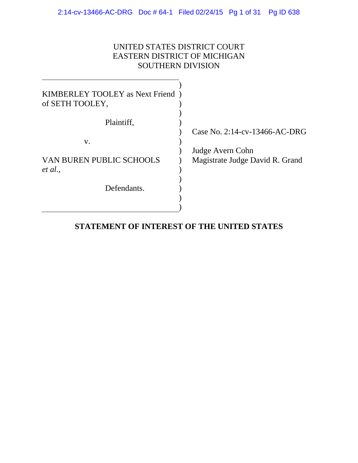## UNITED STATES DISTRICT COURT EASTERN DISTRICT OF MICHIGAN SOUTHERN DIVISION

| KIMBERLEY TOOLEY as Next Friend)<br>of SETH TOOLEY, |                                                     |
|-----------------------------------------------------|-----------------------------------------------------|
| Plaintiff,                                          |                                                     |
|                                                     | Case No. $2:14$ -cv-13466-AC-DRG                    |
| V.                                                  |                                                     |
| <b>VAN BUREN PUBLIC SCHOOLS</b><br>et al.,          | Judge Avern Cohn<br>Magistrate Judge David R. Grand |
| Defendants.                                         |                                                     |

## **STATEMENT OF INTEREST OF THE UNITED STATES**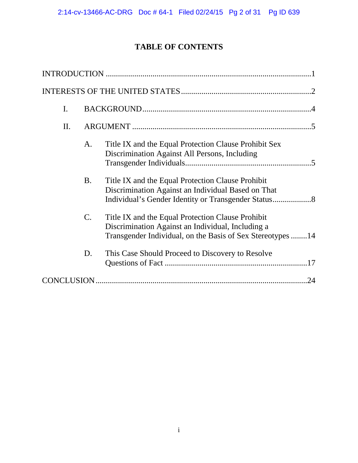# **TABLE OF CONTENTS**

<span id="page-1-0"></span>

| I.  |                 |                                                                                                                                                                      |
|-----|-----------------|----------------------------------------------------------------------------------------------------------------------------------------------------------------------|
| II. |                 |                                                                                                                                                                      |
|     | A.              | Title IX and the Equal Protection Clause Prohibit Sex<br>Discrimination Against All Persons, Including                                                               |
|     | <b>B.</b>       | Title IX and the Equal Protection Clause Prohibit<br>Discrimination Against an Individual Based on That                                                              |
|     | $\mathcal{C}$ . | Title IX and the Equal Protection Clause Prohibit<br>Discrimination Against an Individual, Including a<br>Transgender Individual, on the Basis of Sex Stereotypes 14 |
|     | D.              | This Case Should Proceed to Discovery to Resolve                                                                                                                     |
|     |                 |                                                                                                                                                                      |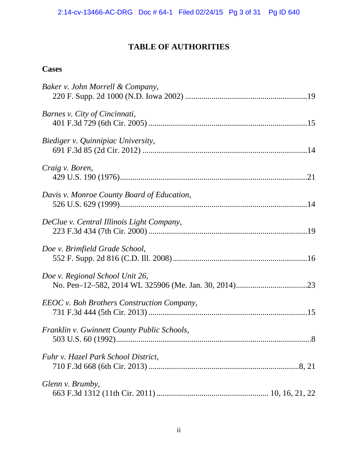# **TABLE OF AUTHORITIES**

## <span id="page-2-0"></span>**Cases**

| Baker v. John Morrell & Company,                  |
|---------------------------------------------------|
| Barnes v. City of Cincinnati,                     |
| Biediger v. Quinnipiac University,                |
| Craig v. Boren,                                   |
| Davis v. Monroe County Board of Education,        |
| DeClue v. Central Illinois Light Company,         |
| Doe v. Brimfield Grade School,                    |
| Doe v. Regional School Unit 26,                   |
| <b>EEOC</b> v. Boh Brothers Construction Company, |
| Franklin v. Gwinnett County Public Schools,       |
| Fuhr v. Hazel Park School District,               |
| Glenn v. Brumby,                                  |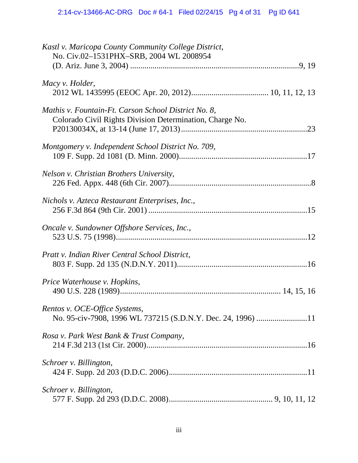<span id="page-3-0"></span>

| Kastl v. Maricopa County Community College District,<br>No. Civ.02-1531PHX-SRB, 2004 WL 2008954                  |
|------------------------------------------------------------------------------------------------------------------|
| Macy v. Holder,                                                                                                  |
| Mathis v. Fountain-Ft. Carson School District No. 8,<br>Colorado Civil Rights Division Determination, Charge No. |
| Montgomery v. Independent School District No. 709,                                                               |
| Nelson v. Christian Brothers University,                                                                         |
| Nichols v. Azteca Restaurant Enterprises, Inc.,                                                                  |
| Oncale v. Sundowner Offshore Services, Inc.,                                                                     |
| Pratt v. Indian River Central School District,                                                                   |
| Price Waterhouse v. Hopkins,                                                                                     |
| Rentos v. OCE-Office Systems,<br>No. 95-civ-7908, 1996 WL 737215 (S.D.N.Y. Dec. 24, 1996) 11                     |
| Rosa v. Park West Bank & Trust Company,                                                                          |
| Schroer v. Billington,                                                                                           |
| Schroer v. Billington,                                                                                           |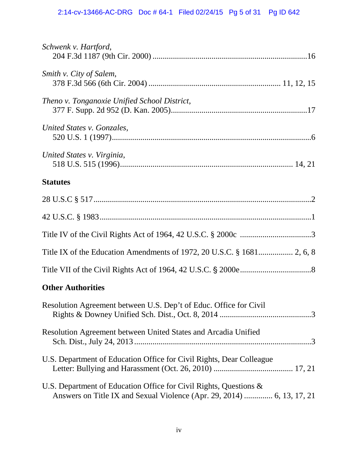| Schwenk v. Hartford,                                                                                                                        |
|---------------------------------------------------------------------------------------------------------------------------------------------|
| Smith v. City of Salem,                                                                                                                     |
| Theno v. Tonganoxie Unified School District,                                                                                                |
| United States v. Gonzales,                                                                                                                  |
| United States v. Virginia,                                                                                                                  |
| <b>Statutes</b>                                                                                                                             |
|                                                                                                                                             |
|                                                                                                                                             |
|                                                                                                                                             |
|                                                                                                                                             |
|                                                                                                                                             |
| <b>Other Authorities</b>                                                                                                                    |
| Resolution Agreement between U.S. Dep't of Educ. Office for Civil                                                                           |
| Resolution Agreement between United States and Arcadia Unified                                                                              |
| U.S. Department of Education Office for Civil Rights, Dear Colleague                                                                        |
| U.S. Department of Education Office for Civil Rights, Questions &<br>Answers on Title IX and Sexual Violence (Apr. 29, 2014)  6, 13, 17, 21 |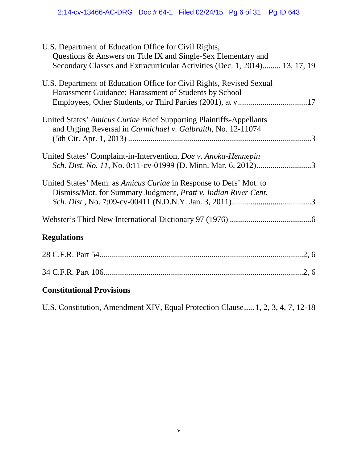<span id="page-5-0"></span>

| U.S. Department of Education Office for Civil Rights,<br>Questions & Answers on Title IX and Single-Sex Elementary and<br>Secondary Classes and Extracurricular Activities (Dec. 1, 2014) 13, 17, 19 |
|------------------------------------------------------------------------------------------------------------------------------------------------------------------------------------------------------|
| U.S. Department of Education Office for Civil Rights, Revised Sexual<br>Harassment Guidance: Harassment of Students by School                                                                        |
| United States' Amicus Curiae Brief Supporting Plaintiffs-Appellants<br>and Urging Reversal in Carmichael v. Galbraith, No. 12-11074                                                                  |
| United States' Complaint-in-Intervention, Doe v. Anoka-Hennepin<br>Sch. Dist. No. 11, No. 0:11-cv-01999 (D. Minn. Mar. 6, 2012)3                                                                     |
| United States' Mem. as <i>Amicus Curiae</i> in Response to Defs' Mot. to<br>Dismiss/Mot. for Summary Judgment, Pratt v. Indian River Cent.                                                           |
|                                                                                                                                                                                                      |
| <b>Regulations</b>                                                                                                                                                                                   |
|                                                                                                                                                                                                      |
|                                                                                                                                                                                                      |
| <b>Constitutional Provisions</b>                                                                                                                                                                     |
| U.S. Constitution, Amendment XIV, Equal Protection Clause 1, 2, 3, 4, 7, 12-18                                                                                                                       |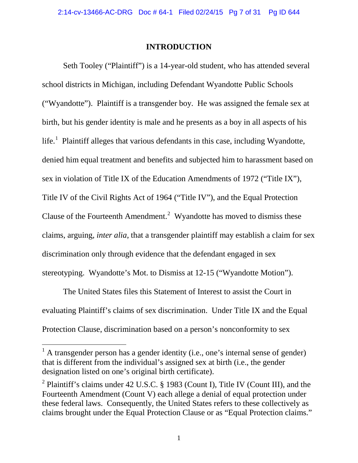#### **INTRODUCTION**

<span id="page-6-0"></span> ("Wyandotte"). Plaintiff is a transgender boy. He was assigned the female sex at life.<sup>[1](#page-6-1)</sup> Plaintiff alleges that various defendants in this case, including Wyandotte, Clause of the Fourteenth Amendment.<sup>[2](#page-6-2)</sup> Wyandotte has moved to dismiss these claims, arguing, *inter alia*, that a transgender plaintiff may establish a claim for sex stereotyping. Wyandotte's Mot. to Dismiss at 12-15 ("Wyandotte Motion"). Seth Tooley ("Plaintiff") is a 14-year-old student, who has attended several school districts in Michigan, including Defendant Wyandotte Public Schools birth, but his gender identity is male and he presents as a boy in all aspects of his denied him equal treatment and benefits and subjected him to harassment based on sex in violation of Title IX of the Education Amendments of 1972 ("Title IX"), Title IV of the Civil Rights Act of 1964 ("Title IV"), and the Equal Protection discrimination only through evidence that the defendant engaged in sex

The United States files this Statement of Interest to assist the Court in evaluating Plaintiff's claims of sex discrimination. Under Title IX and the Equal Protection Clause, discrimination based on a person's nonconformity to sex

<span id="page-6-1"></span> $<sup>1</sup>$  A transgender person has a gender identity (i.e., one's internal sense of gender)</sup> that is different from the individual's assigned sex at birth (i.e., the gender designation listed on one's original birth certificate).

<span id="page-6-2"></span><sup>&</sup>lt;sup>[2](#page-7-0)</sup> Plaintiff's claims under 42 U.S.C. § 1983 (Count I), Title IV (Count III), and the claims brought under the Equal Protection Clause or as "Equal Protection claims."<br>1 Fourteenth Amendment (Count V) each allege a denial of equal protection under these federal laws. Consequently, the United States refers to these collectively as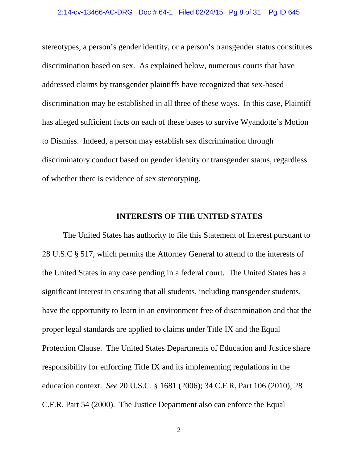<span id="page-7-0"></span> stereotypes, a person's gender identity, or a person's transgender status constitutes discrimination based on sex. As explained below, numerous courts that have addressed claims by transgender plaintiffs have recognized that sex-based discrimination may be established in all three of these ways. In this case, Plaintiff has alleged sufficient facts on each of these bases to survive Wyandotte's Motion to Dismiss. Indeed, a person may establish sex discrimination through discriminatory conduct based on gender identity or transgender status, regardless of whether there is evidence of sex stereotyping.

#### **INTERESTS OF THE UNITED STATES**

 28 U.S.C § 517, which permits the Attorney General to attend to the interests of the United States in any case pending in a federal court. The United States has a have the opportunity to learn in an environment free of discrimination and that the proper legal standards are applied to claims under Title IX and the Equal Protection Clause. The United States Departments of Education and Justice share education context. *See* 20 U.S.C. § 1681 (2006); 34 C.F.R. Part 106 (2010); 28 The United States has authority to file this Statement of Interest pursuant to significant interest in ensuring that all students, including transgender students, responsibility for enforcing Title IX and its implementing regulations in the C.F.R. Part 54 (2000). The Justice Department also can enforce the Equal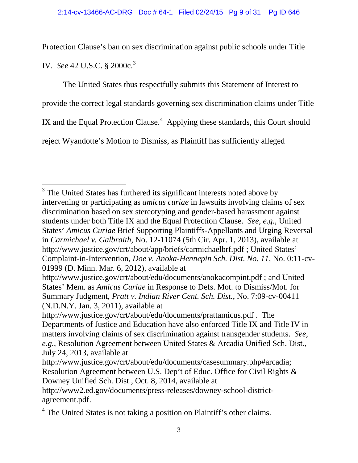IV. *See* 42 U.S.C. § 2000c. [3](#page-8-0) Protection Clause's ban on sex discrimination against public schools under Title

IX and the Equal Protection Clause.<sup>[4](#page-9-0)</sup> Applying these standards, this Court should The United States thus respectfully submits this Statement of Interest to provide the correct legal standards governing sex discrimination claims under Title reject Wyandotte's Motion to Dismiss, as Plaintiff has sufficiently alleged

 students under both Title IX and the Equal Protection Clause. *See, e.g.*, United  $3$  The United States has furthered its significant interests noted above by intervening or participating as *amicus curiae* in lawsuits involving claims of sex discrimination based on sex stereotyping and gender-based harassment against States' *Amicus Curiae* Brief Supporting Plaintiffs-Appellants and Urging Reversal in *Carmichael v. Galbraith*, No. 12-11074 (5th Cir. Apr. 1, 2013), available at http://www.justice.gov/crt/about/app/briefs/carmichaelbrf.pdf ; United States' Complaint-in-Intervention, *Doe v. Anoka-Hennepin Sch. Dist. No. 11*, No. 0:11-cv-01999 (D. Minn. Mar. 6, 2012), available at

<span id="page-8-0"></span>http://www.justice.gov/crt/about/edu/documents/anokacompint.pdf ; and United States' Mem. as *Amicus Curiae* in Response to Defs. Mot. to Dismiss/Mot. for Summary Judgment, *Pratt v. Indian River Cent. Sch. Dist.*, No. 7:09-cv-00411 (N.D.N.Y. Jan. 3, 2011), available at

 matters involving claims of sex discrimination against transgender students. *See,*  http://www.justice.gov/crt/about/edu/documents/prattamicus.pdf . The Departments of Justice and Education have also enforced Title IX and Title IV in *e.g.*, Resolution Agreement between United States & Arcadia Unified Sch. Dist., July 24, 2013, available at

 Resolution Agreement between U.S. Dep't of Educ. Office for Civil Rights & http://www.justice.gov/crt/about/edu/documents/casesummary.php#arcadia; Downey Unified Sch. Dist., Oct. 8, 2014, available at

http://www2.ed.gov/documents/press-releases/downey-school-districtagreement.pdf.

<sup>&</sup>lt;sup>4</sup> The United States is not taking a position on Plaintiff's other claims.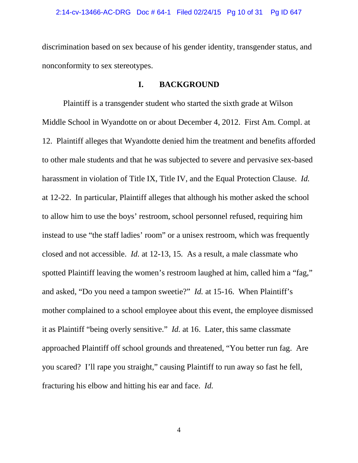discrimination based on sex because of his gender identity, transgender status, and nonconformity to sex stereotypes.

#### **I. BACKGROUND**

 Middle School in Wyandotte on or about December 4, 2012. First Am. Compl. at 12. Plaintiff alleges that Wyandotte denied him the treatment and benefits afforded harassment in violation of Title IX, Title IV, and the Equal Protection Clause. *Id.*  closed and not accessible. *Id.* at 12-13, 15*.* As a result, a male classmate who spotted Plaintiff leaving the women's restroom laughed at him, called him a "fag," and asked, "Do you need a tampon sweetie?" *Id.* at 15-16. When Plaintiff's it as Plaintiff "being overly sensitive." *Id.* at 16. Later, this same classmate you scared? I'll rape you straight," causing Plaintiff to run away so fast he fell, fracturing his elbow and hitting his ear and face. *Id.*  Plaintiff is a transgender student who started the sixth grade at Wilson to other male students and that he was subjected to severe and pervasive sex-based at 12-22. In particular, Plaintiff alleges that although his mother asked the school to allow him to use the boys' restroom, school personnel refused, requiring him instead to use "the staff ladies' room" or a unisex restroom, which was frequently mother complained to a school employee about this event, the employee dismissed approached Plaintiff off school grounds and threatened, "You better run fag. Are

<span id="page-9-0"></span>4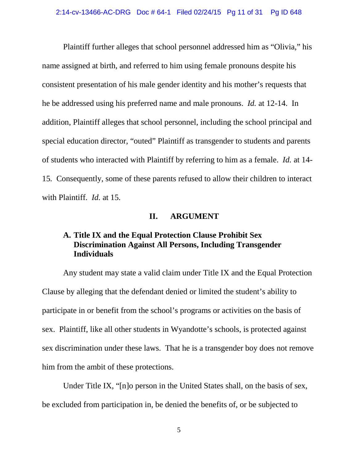<span id="page-10-0"></span> he be addressed using his preferred name and male pronouns. *Id.* at 12-14. In of students who interacted with Plaintiff by referring to him as a female. *Id.* at 14 15*.* Consequently, some of these parents refused to allow their children to interact with Plaintiff. *Id.* at 15*.*  Plaintiff further alleges that school personnel addressed him as "Olivia," his name assigned at birth, and referred to him using female pronouns despite his consistent presentation of his male gender identity and his mother's requests that addition, Plaintiff alleges that school personnel, including the school principal and special education director, "outed" Plaintiff as transgender to students and parents

#### **II. ARGUMENT**

### **A. Title IX and the Equal Protection Clause Prohibit Sex Discrimination Against All Persons, Including Transgender Individuals**

 participate in or benefit from the school's programs or activities on the basis of Any student may state a valid claim under Title IX and the Equal Protection Clause by alleging that the defendant denied or limited the student's ability to sex. Plaintiff, like all other students in Wyandotte's schools, is protected against sex discrimination under these laws. That he is a transgender boy does not remove him from the ambit of these protections.

 Under Title IX, "[n]o person in the United States shall, on the basis of sex, be excluded from participation in, be denied the benefits of, or be subjected to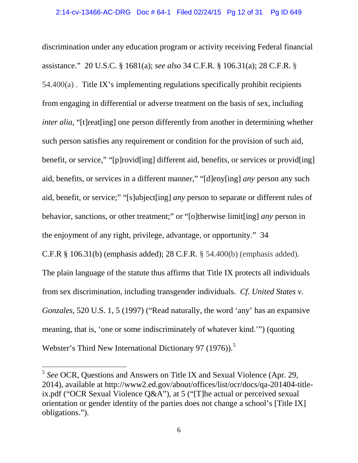assistance." 20 U.S.C. § 1681(a); *see also* 34 C.F.R. § 106.31(a); 28 C.F.R. § 54.400(a) . Title IX's implementing regulations specifically prohibit recipients from engaging in differential or adverse treatment on the basis of sex, including such person satisfies any requirement or condition for the provision of such aid, benefit, or service," "[p]rovid[ing] different aid, benefits, or services or provid[ing] aid, benefits, or services in a different manner," "[d]eny[ing] *any* person any such aid, benefit, or service;" "[s]ubject[ing] *any* person to separate or different rules of behavior, sanctions, or other treatment;" or "[o]therwise limit[ing] *any* person in C.F.R § 106.31(b) (emphasis added); 28 C.F.R. § 54.400(b) (emphasis added). from sex discrimination, including transgender individuals. *Cf. United States v.*  discrimination under any education program or activity receiving Federal financial *inter alia*, "[t]reat[ing] one person differently from another in determining whether the enjoyment of any right, privilege, advantage, or opportunity." 34 The plain language of the statute thus affirms that Title IX protects all individuals *Gonzales*, 520 U.S. 1, 5 (1997) ("Read naturally, the word 'any' has an expansive meaning, that is, 'one or some indiscriminately of whatever kind.'") (quoting Webster's Third New International Dictionary 97 (1976)).<sup>[5](#page-13-1)</sup>

<sup>5</sup>*See* OCR, Questions and Answers on Title IX and Sexual Violence (Apr. 29, 2014), available at http://www2.ed.gov/about/offices/list/ocr/docs/qa-201404-titleix.pdf ("OCR Sexual Violence Q&A"), at 5 ("[T]he actual or perceived sexual orientation or gender identity of the parties does not change a school's [Title IX] obligations.").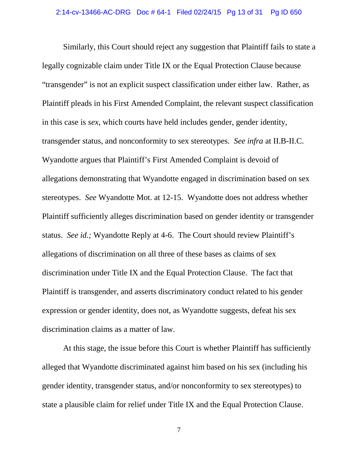<span id="page-12-0"></span> transgender status, and nonconformity to sex stereotypes. *See infra* at II.B-II.C. Wyandotte argues that Plaintiff's First Amended Complaint is devoid of stereotypes. *See* Wyandotte Mot. at 12-15. Wyandotte does not address whether status. *See id.;* Wyandotte Reply at 4-6. The Court should review Plaintiff's discrimination under Title IX and the Equal Protection Clause. The fact that discrimination claims as a matter of law. Similarly, this Court should reject any suggestion that Plaintiff fails to state a legally cognizable claim under Title IX or the Equal Protection Clause because "transgender" is not an explicit suspect classification under either law. Rather, as Plaintiff pleads in his First Amended Complaint, the relevant suspect classification in this case is *sex*, which courts have held includes gender, gender identity, allegations demonstrating that Wyandotte engaged in discrimination based on sex Plaintiff sufficiently alleges discrimination based on gender identity or transgender allegations of discrimination on all three of these bases as claims of sex Plaintiff is transgender, and asserts discriminatory conduct related to his gender expression or gender identity, does not, as Wyandotte suggests, defeat his sex

state a plausible claim for relief under Title IX and the Equal Protection Clause.<br>7 At this stage, the issue before this Court is whether Plaintiff has sufficiently alleged that Wyandotte discriminated against him based on his sex (including his gender identity, transgender status, and/or nonconformity to sex stereotypes) to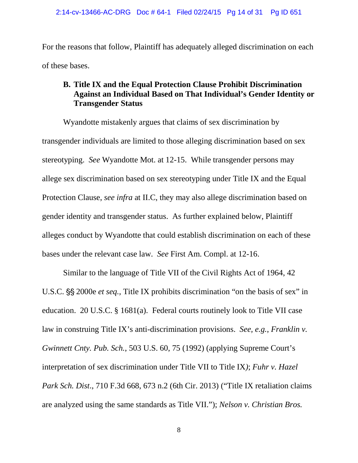<span id="page-13-0"></span>For the reasons that follow, Plaintiff has adequately alleged discrimination on each of these bases.

### **Against an Individual Based on That Individual's Gender Identity or B. Title IX and the Equal Protection Clause Prohibit Discrimination Transgender Status**

 stereotyping. *See* Wyandotte Mot. at 12-15. While transgender persons may Protection Clause, *see infra* at II.C, they may also allege discrimination based on alleges conduct by Wyandotte that could establish discrimination on each of these bases under the relevant case law. *See* First Am. Compl. at 12-16. Wyandotte mistakenly argues that claims of sex discrimination by transgender individuals are limited to those alleging discrimination based on sex allege sex discrimination based on sex stereotyping under Title IX and the Equal gender identity and transgender status. As further explained below, Plaintiff

<span id="page-13-1"></span> Similar to the language of Title VII of the Civil Rights Act of 1964, 42 education. 20 U.S.C. § 1681(a). Federal courts routinely look to Title VII case law in construing Title IX's anti-discrimination provisions. *See, e.g.*, *Franklin v.*  U.S.C.  $\S$  2000e *et seq.*, Title IX prohibits discrimination "on the basis of sex" in *Gwinnett Cnty. Pub. Sch.*, 503 U.S. 60, 75 (1992) (applying Supreme Court's interpretation of sex discrimination under Title VII to Title IX*)*; *Fuhr v. Hazel Park Sch. Dist*., 710 F.3d 668, 673 n.2 (6th Cir. 2013) ("Title IX retaliation claims are analyzed using the same standards as Title VII."); *Nelson v. Christian Bros.* 

8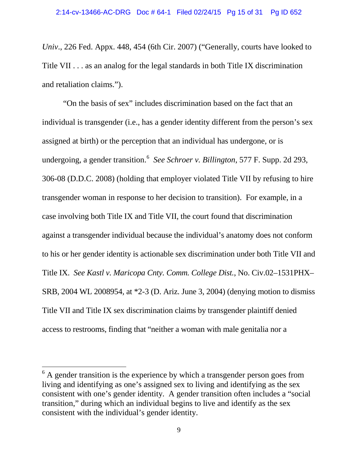<span id="page-14-0"></span> *Univ*., 226 Fed. Appx. 448, 454 (6th Cir. 2007) ("Generally, courts have looked to Title VII . . . as an analog for the legal standards in both Title IX discrimination and retaliation claims.").

 undergoing, a gender transition.[6](#page-16-1) *See Schroer v. Billington*, 577 F. Supp. 2d 293, Title IX. *See Kastl v. Maricopa Cnty. Comm. College Dist.*, No. Civ.02–1531PHX– SRB, 2004 WL 2008954, at \*2-3 (D. Ariz. June 3, 2004) (denying motion to dismiss access to restrooms, finding that "neither a woman with male genitalia nor a "On the basis of sex" includes discrimination based on the fact that an individual is transgender (i.e., has a gender identity different from the person's sex assigned at birth) or the perception that an individual has undergone, or is 306-08 (D.D.C. 2008) (holding that employer violated Title VII by refusing to hire transgender woman in response to her decision to transition). For example, in a case involving both Title IX and Title VII, the court found that discrimination against a transgender individual because the individual's anatomy does not conform to his or her gender identity is actionable sex discrimination under both Title VII and Title VII and Title IX sex discrimination claims by transgender plaintiff denied access to restrooms, finding that "neither a woman with male genitalia nor a<br>
<sup>6</sup> A gender transition is the experience by which a transgender person goes from

living and identifying as one's assigned sex to living and identifying as the sex consistent with one's gender identity. A gender transition often includes a "social transition," during which an individual begins to live and identify as the sex consistent with the individual's gender identity.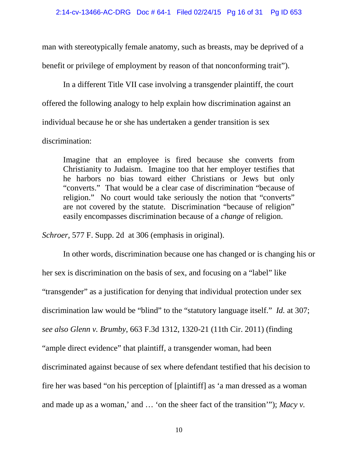man with stereotypically female anatomy, such as breasts, may be deprived of a benefit or privilege of employment by reason of that nonconforming trait").

In a different Title VII case involving a transgender plaintiff, the court offered the following analogy to help explain how discrimination against an individual because he or she has undertaken a gender transition is sex

discrimination:

 "converts." That would be a clear case of discrimination "because of easily encompasses discrimination because of a *change* of religion. Imagine that an employee is fired because she converts from Christianity to Judaism. Imagine too that her employer testifies that he harbors no bias toward either Christians or Jews but only religion." No court would take seriously the notion that "converts" are not covered by the statute. Discrimination "because of religion"

*Schroer,* 577 F. Supp. 2d at 306 (emphasis in original).

 her sex is discrimination on the basis of sex, and focusing on a "label" like discrimination law would be "blind" to the "statutory language itself." *Id.* at 307; and made up as a woman,' and … 'on the sheer fact of the transition'"); *Macy v.*  In other words, discrimination because one has changed or is changing his or "transgender" as a justification for denying that individual protection under sex *see also Glenn v. Brumby*, 663 F.3d 1312, 1320-21 (11th Cir. 2011) (finding "ample direct evidence" that plaintiff, a transgender woman, had been discriminated against because of sex where defendant testified that his decision to fire her was based "on his perception of [plaintiff] as 'a man dressed as a woman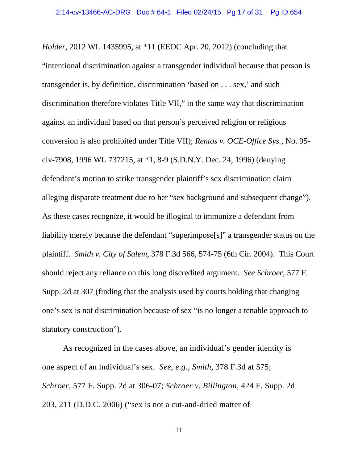<span id="page-16-0"></span> *Holder*, 2012 WL 1435995, at \*11 (EEOC Apr. 20, 2012) (concluding that civ-7908, 1996 WL 737215, at \*1, 8-9 (S.D.N.Y. Dec. 24, 1996) (denying alleging disparate treatment due to her "sex background and subsequent change"). As these cases recognize, it would be illogical to immunize a defendant from liability merely because the defendant "superimpose[s]" a transgender status on the plaintiff. *Smith v. City of Salem*, 378 F.3d 566, 574-75 (6th Cir. 2004). This Court should reject any reliance on this long discredited argument. *See Schroer*, 577 F. "intentional discrimination against a transgender individual because that person is transgender is, by definition, discrimination 'based on . . . sex,' and such discrimination therefore violates Title VII," in the same way that discrimination against an individual based on that person's perceived religion or religious conversion is also prohibited under Title VII); *Rentos v. OCE-Office Sys.*, No. 95 defendant's motion to strike transgender plaintiff's sex discrimination claim Supp. 2d at 307 (finding that the analysis used by courts holding that changing one's sex is not discrimination because of sex "is no longer a tenable approach to statutory construction").

<span id="page-16-1"></span> As recognized in the cases above, an individual's gender identity is one aspect of an individual's sex. *See, e.g., Smith*, 378 F.3d at 575; *Schroer,* 577 F. Supp. 2d at 306-07; *Schroer v. Billington*, 424 F. Supp. 2d 203, 211 (D.D.C. 2006) ("sex is not a cut-and-dried matter of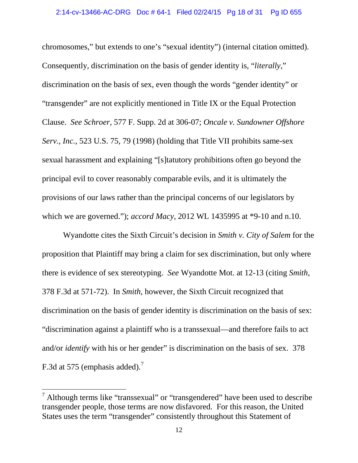<span id="page-17-0"></span> chromosomes," but extends to one's "sexual identity") (internal citation omitted). Consequently, discrimination on the basis of gender identity is, "*literally*," Clause. *See Schroer*, 577 F. Supp. 2d at 306-07; *Oncale v. Sundowner Offshore*  provisions of our laws rather than the principal concerns of our legislators by which we are governed."); accord Macy, 2012 WL 1435995 at  $*9-10$  and n.10. discrimination on the basis of sex, even though the words "gender identity" or "transgender" are not explicitly mentioned in Title IX or the Equal Protection *Serv., Inc.*, 523 U.S. 75, 79 (1998) (holding that Title VII prohibits same-sex sexual harassment and explaining "[s]tatutory prohibitions often go beyond the principal evil to cover reasonably comparable evils, and it is ultimately the

 378 F.3d at 571-72). In *Smith,* however, the Sixth Circuit recognized that discrimination on the basis of gender identity is discrimination on the basis of sex: and/or *identify* with his or her gender" is discrimination on the basis of sex. 378 Wyandotte cites the Sixth Circuit's decision in *Smith v. City of Salem* for the proposition that Plaintiff may bring a claim for sex discrimination, but only where there is evidence of sex stereotyping. *See* Wyandotte Mot. at 12-13 (citing *Smith*, "discrimination against a plaintiff who is a transsexual—and therefore fails to act F.3d at 575 (emphasis added).<sup>7</sup>

 States uses the term "transgender" consistently throughout this Statement of  $<sup>7</sup>$  Although terms like "transsexual" or "transgendered" have been used to describe</sup> transgender people, those terms are now disfavored. For this reason, the United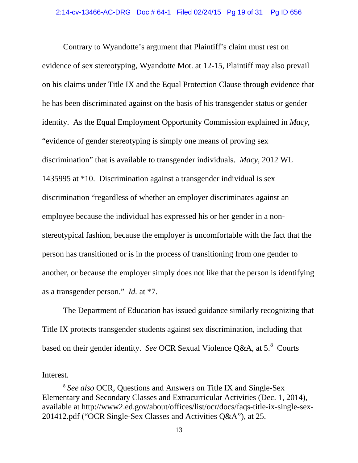evidence of sex stereotyping, Wyandotte Mot. at 12-15, Plaintiff may also prevail he has been discriminated against on the basis of his transgender status or gender identity. As the Equal Employment Opportunity Commission explained in *Macy*, discrimination" that is available to transgender individuals. *Macy*, 2012 WL 1435995 at \*10. Discrimination against a transgender individual is sex employee because the individual has expressed his or her gender in a non- as a transgender person." *Id.* at \*7. Contrary to Wyandotte's argument that Plaintiff's claim must rest on on his claims under Title IX and the Equal Protection Clause through evidence that "evidence of gender stereotyping is simply one means of proving sex discrimination "regardless of whether an employer discriminates against an stereotypical fashion, because the employer is uncomfortable with the fact that the person has transitioned or is in the process of transitioning from one gender to another, or because the employer simply does not like that the person is identifying

 based on their gender identity. *See* OCR Sexual Violence Q&A, at 5.[8](#page-21-1) Courts The Department of Education has issued guidance similarly recognizing that Title IX protects transgender students against sex discrimination, including that

Interest.

<sup>8</sup>*See also* OCR, Questions and Answers on Title IX and Single-Sex Elementary and Secondary Classes and Extracurricular Activities (Dec. 1, 2014), available at http://www2.ed.gov/about/offices/list/ocr/docs/faqs-title-ix-single-sex-201412.pdf ("OCR Single-Sex Classes and Activities Q&A"), at 25.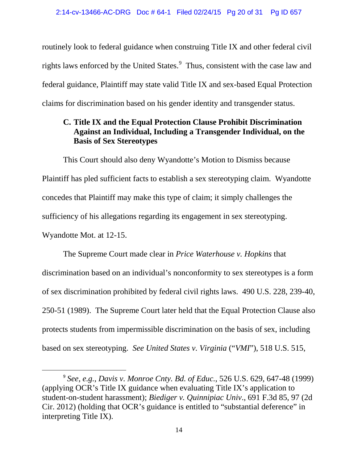rights laws enforced by the United States.<sup>9</sup> Thus, consistent with the case law and routinely look to federal guidance when construing Title IX and other federal civil federal guidance, Plaintiff may state valid Title IX and sex-based Equal Protection claims for discrimination based on his gender identity and transgender status.

## **Against an Individual, Including a Transgender Individual, on the C. Title IX and the Equal Protection Clause Prohibit Discrimination Basis of Sex Stereotypes**

 Plaintiff has pled sufficient facts to establish a sex stereotyping claim. Wyandotte concedes that Plaintiff may make this type of claim; it simply challenges the This Court should also deny Wyandotte's Motion to Dismiss because sufficiency of his allegations regarding its engagement in sex stereotyping. Wyandotte Mot. at 12-15.

 protects students from impermissible discrimination on the basis of sex, including based on sex stereotyping. *See United States v. Virginia* ("*VMI*"), 518 U.S. 515, The Supreme Court made clear in *Price Waterhouse v. Hopkins* that discrimination based on an individual's nonconformity to sex stereotypes is a form of sex discrimination prohibited by federal civil rights laws. 490 U.S. 228, 239-40, 250-51 (1989). The Supreme Court later held that the Equal Protection Clause also

<sup>9</sup>*See, e.g.*, *Davis v. Monroe Cnty. Bd. of Educ.*, 526 U.S. 629, 647-48 (1999) (applying OCR's Title IX guidance when evaluating Title IX's application to student-on-student harassment); *Biediger v. Quinnipiac Univ*., 691 F.3d 85, 97 (2d Cir. 2012) (holding that OCR's guidance is entitled to "substantial deference" in interpreting Title IX).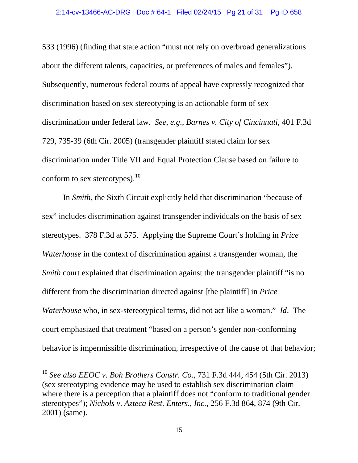533 (1996) (finding that state action "must not rely on overbroad generalizations about the different talents, capacities, or preferences of males and females"). discrimination under federal law. *See, e.g., Barnes v. City of Cincinnati*, 401 F.3d conform to sex stereotypes). $^{10}$  $^{10}$  $^{10}$ Subsequently, numerous federal courts of appeal have expressly recognized that discrimination based on sex stereotyping is an actionable form of sex 729, 735-39 (6th Cir. 2005) (transgender plaintiff stated claim for sex discrimination under Title VII and Equal Protection Clause based on failure to

 stereotypes. 378 F.3d at 575. Applying the Supreme Court's holding in *Price Waterhouse* who, in sex-stereotypical terms, did not act like a woman." *Id*. The behavior is impermissible discrimination, irrespective of the cause of that behavior; In *Smith*, the Sixth Circuit explicitly held that discrimination "because of sex" includes discrimination against transgender individuals on the basis of sex *Waterhouse* in the context of discrimination against a transgender woman, the *Smith* court explained that discrimination against the transgender plaintiff "is no different from the discrimination directed against [the plaintiff] in *Price*  court emphasized that treatment "based on a person's gender non-conforming

<span id="page-20-0"></span> where there is a perception that a plaintiff does not "conform to traditional gender <sup>10</sup>*See also EEOC v. Boh Brothers Constr. Co.,* 731 F.3d 444, 454 (5th Cir. 2013) (sex stereotyping evidence may be used to establish sex discrimination claim stereotypes"); *Nichols v. Azteca Rest. Enters., Inc.,* 256 F.3d 864, 874 (9th Cir. 2001) (same).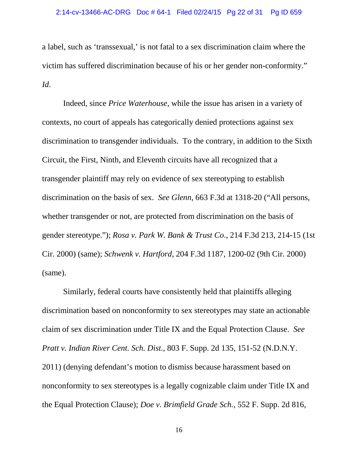<span id="page-21-0"></span> a label, such as 'transsexual,' is not fatal to a sex discrimination claim where the victim has suffered discrimination because of his or her gender non-conformity." *Id*.

 discrimination to transgender individuals. To the contrary, in addition to the Sixth discrimination on the basis of sex. *See Glenn*, 663 F.3d at 1318-20 ("All persons, whether transgender or not, are protected from discrimination on the basis of (same). Indeed, since *Price Waterhouse*, while the issue has arisen in a variety of contexts, no court of appeals has categorically denied protections against sex Circuit, the First, Ninth, and Eleventh circuits have all recognized that a transgender plaintiff may rely on evidence of sex stereotyping to establish gender stereotype."); *Rosa v. Park W. Bank & Trust Co*., 214 F.3d 213, 214-15 (1st Cir. 2000) (same); *Schwenk v. Hartford*, 204 F.3d 1187, 1200-02 (9th Cir. 2000)

<span id="page-21-2"></span><span id="page-21-1"></span> claim of sex discrimination under Title IX and the Equal Protection Clause. *See*  Similarly, federal courts have consistently held that plaintiffs alleging discrimination based on nonconformity to sex stereotypes may state an actionable *Pratt v. Indian River Cent. Sch. Dist.*, 803 F. Supp. 2d 135, 151-52 (N.D.N.Y. 2011) (denying defendant's motion to dismiss because harassment based on nonconformity to sex stereotypes is a legally cognizable claim under Title IX and the Equal Protection Clause); *Doe v. Brimfield Grade Sch.*, 552 F. Supp. 2d 816,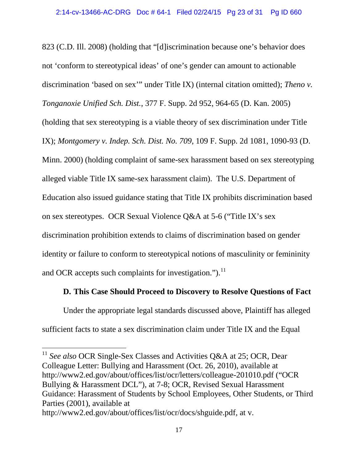<span id="page-22-0"></span> alleged viable Title IX same-sex harassment claim). The U.S. Department of on sex stereotypes. OCR Sexual Violence Q&A at 5-6 ("Title IX's sex and OCR accepts such complaints for investigation.").<sup>11</sup> 823 (C.D. Ill. 2008) (holding that "[d]iscrimination because one's behavior does not 'conform to stereotypical ideas' of one's gender can amount to actionable discrimination 'based on sex'" under Title IX) (internal citation omitted); *Theno v. Tonganoxie Unified Sch. Dist.*, 377 F. Supp. 2d 952, 964-65 (D. Kan. 2005) (holding that sex stereotyping is a viable theory of sex discrimination under Title IX); *Montgomery v. Indep. Sch. Dist. No. 709*, 109 F. Supp. 2d 1081, 1090-93 (D. Minn. 2000) (holding complaint of same-sex harassment based on sex stereotyping Education also issued guidance stating that Title IX prohibits discrimination based discrimination prohibition extends to claims of discrimination based on gender identity or failure to conform to stereotypical notions of masculinity or femininity

### **D. This Case Should Proceed to Discovery to Resolve Questions of Fact**

Under the appropriate legal standards discussed above, Plaintiff has alleged sufficient facts to state a sex discrimination claim under Title IX and the Equal

<sup>&</sup>lt;sup>11</sup> See also OCR Single-Sex Classes and Activities Q&A at 25; OCR, Dear Colleague Letter: Bullying and Harassment (Oct. 26, 2010), available at http://www2.ed.gov/about/offices/list/ocr/letters/colleague-201010.pdf ("OCR Bullying & Harassment DCL"), at 7-8; OCR, Revised Sexual Harassment Guidance: Harassment of Students by School Employees, Other Students, or Third Parties (2001), available at

http://www2.ed.gov/about/offices/list/ocr/docs/shguide.pdf, at v.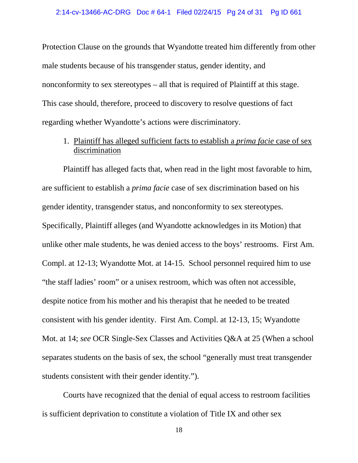<span id="page-23-0"></span> nonconformity to sex stereotypes – all that is required of Plaintiff at this stage. This case should, therefore, proceed to discovery to resolve questions of fact Protection Clause on the grounds that Wyandotte treated him differently from other male students because of his transgender status, gender identity, and regarding whether Wyandotte's actions were discriminatory.

1. Plaintiff has alleged sufficient facts to establish a *prima facie* case of sex discrimination

 gender identity, transgender status, and nonconformity to sex stereotypes. Plaintiff has alleged facts that, when read in the light most favorable to him, are sufficient to establish a *prima facie* case of sex discrimination based on his Specifically, Plaintiff alleges (and Wyandotte acknowledges in its Motion) that unlike other male students, he was denied access to the boys' restrooms. First Am. Compl. at 12-13; Wyandotte Mot. at 14-15. School personnel required him to use "the staff ladies' room" or a unisex restroom, which was often not accessible, despite notice from his mother and his therapist that he needed to be treated consistent with his gender identity. First Am. Compl. at 12-13, 15; Wyandotte Mot. at 14; *see* OCR Single-Sex Classes and Activities Q&A at 25 (When a school separates students on the basis of sex, the school "generally must treat transgender students consistent with their gender identity.").

<span id="page-23-1"></span>Courts have recognized that the denial of equal access to restroom facilities is sufficient deprivation to constitute a violation of Title IX and other sex

18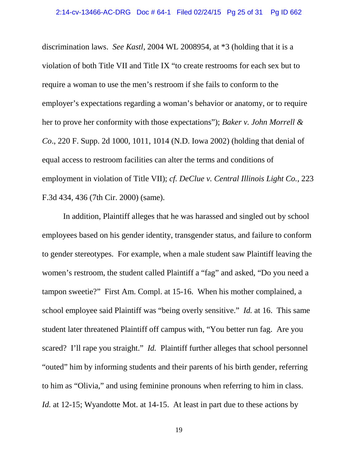<span id="page-24-0"></span> discrimination laws. *See Kastl*, 2004 WL 2008954, at \*3 (holding that it is a her to prove her conformity with those expectations"); *Baker v. John Morrell &*  violation of both Title VII and Title IX "to create restrooms for each sex but to require a woman to use the men's restroom if she fails to conform to the employer's expectations regarding a woman's behavior or anatomy, or to require *Co*., 220 F. Supp. 2d 1000, 1011, 1014 (N.D. Iowa 2002) (holding that denial of equal access to restroom facilities can alter the terms and conditions of employment in violation of Title VII); *cf. DeClue v. Central Illinois Light Co.*, 223 F.3d 434, 436 (7th Cir. 2000) (same).

 employees based on his gender identity, transgender status, and failure to conform school employee said Plaintiff was "being overly sensitive." *Id.* at 16. This same scared? I'll rape you straight." *Id.* Plaintiff further alleges that school personnel to him as "Olivia," and using feminine pronouns when referring to him in class. In addition, Plaintiff alleges that he was harassed and singled out by school to gender stereotypes. For example, when a male student saw Plaintiff leaving the women's restroom, the student called Plaintiff a "fag" and asked, "Do you need a tampon sweetie?" First Am. Compl. at 15-16. When his mother complained, a student later threatened Plaintiff off campus with, "You better run fag. Are you "outed" him by informing students and their parents of his birth gender, referring *Id.* at 12-15; Wyandotte Mot. at 14-15. At least in part due to these actions by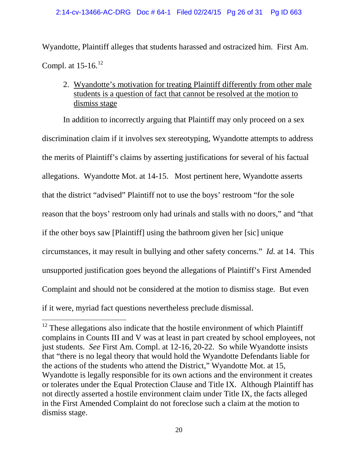#### 2:14-cv-13466-AC-DRG Doc # 64-1 Filed 02/24/15 Pg 26 of 31 Pg ID 663

Wyandotte, Plaintiff alleges that students harassed and ostracized him. First Am. Compl. at  $15-16$ .<sup>12</sup>

2. Wyandotte's motivation for treating Plaintiff differently from other male students is a question of fact that cannot be resolved at the motion to dismiss stage

 that the district "advised" Plaintiff not to use the boys' restroom "for the sole if the other boys saw [Plaintiff] using the bathroom given her [sic] unique circumstances, it may result in bullying and other safety concerns." *Id.* at 14. This In addition to incorrectly arguing that Plaintiff may only proceed on a sex discrimination claim if it involves sex stereotyping, Wyandotte attempts to address the merits of Plaintiff's claims by asserting justifications for several of his factual allegations. Wyandotte Mot. at 14-15. Most pertinent here, Wyandotte asserts reason that the boys' restroom only had urinals and stalls with no doors," and "that unsupported justification goes beyond the allegations of Plaintiff's First Amended Complaint and should not be considered at the motion to dismiss stage. But even if it were, myriad fact questions nevertheless preclude dismissal.

 $12$  These allegations also indicate that the hostile environment of which Plaintiff complains in Counts III and V was at least in part created by school employees, not just students. *See* First Am. Compl. at 12-16, 20-22. So while Wyandotte insists that "there is no legal theory that would hold the Wyandotte Defendants liable for the actions of the students who attend the District," Wyandotte Mot. at 15, Wyandotte is legally responsible for its own actions and the environment it creates or tolerates under the Equal Protection Clause and Title IX. Although Plaintiff has not directly asserted a hostile environment claim under Title IX, the facts alleged in the First Amended Complaint do not foreclose such a claim at the motion to dismiss stage.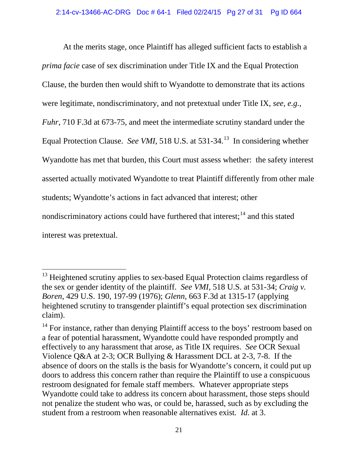<span id="page-26-0"></span>At the merits stage, once Plaintiff has alleged sufficient facts to establish a *prima facie* case of sex discrimination under Title IX and the Equal Protection Clause, the burden then would shift to Wyandotte to demonstrate that its actions were legitimate, nondiscriminatory, and not pretextual under Title IX, *see, e.g., Fuhr*, 710 F.3d at 673-75, and meet the intermediate scrutiny standard under the Equal Protection Clause. *See VMI*, 518 U.S. at 531-34.<sup>13</sup> In considering whether Wyandotte has met that burden, this Court must assess whether: the safety interest asserted actually motivated Wyandotte to treat Plaintiff differently from other male students; Wyandotte's actions in fact advanced that interest; other nondiscriminatory actions could have furthered that interest;  $14$  and this stated interest was pretextual.

 the sex or gender identity of the plaintiff. *See VMI,* 518 U.S. at 531-34; *Craig v.*  <sup>13</sup> Heightened scrutiny applies to sex-based Equal Protection claims regardless of *Boren*, 429 U.S. 190, 197-99 (1976); *Glenn*, 663 F.3d at 1315-17 (applying heightened scrutiny to transgender plaintiff's equal protection sex discrimination claim).

<span id="page-26-1"></span> effectively to any harassment that arose, as Title IX requires. *See* OCR Sexual Violence Q&A at 2-3; OCR Bullying & Harassment DCL at 2-3, 7-8. If the absence of doors on the stalls is the basis for Wyandotte's concern, it could put up not penalize the student who was, or could be, harassed, such as by excluding the student from a restroom when reasonable alternatives exist. *Id.* at 3.<br>21 <sup>14</sup> For instance, rather than denying Plaintiff access to the boys' restroom based on a fear of potential harassment, Wyandotte could have responded promptly and doors to address this concern rather than require the Plaintiff to use a conspicuous restroom designated for female staff members. Whatever appropriate steps Wyandotte could take to address its concern about harassment, those steps should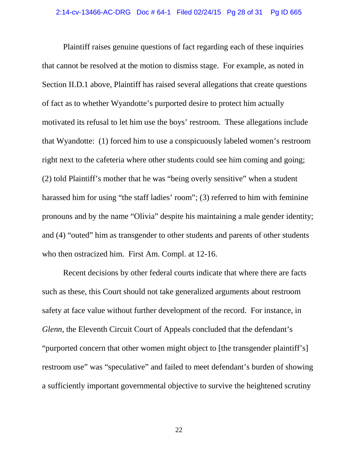<span id="page-27-0"></span> Plaintiff raises genuine questions of fact regarding each of these inquiries pronouns and by the name "Olivia" despite his maintaining a male gender identity; who then ostracized him. First Am. Compl. at 12-16. that cannot be resolved at the motion to dismiss stage. For example, as noted in Section II.D.1 above, Plaintiff has raised several allegations that create questions of fact as to whether Wyandotte's purported desire to protect him actually motivated its refusal to let him use the boys' restroom. These allegations include that Wyandotte: (1) forced him to use a conspicuously labeled women's restroom right next to the cafeteria where other students could see him coming and going; (2) told Plaintiff's mother that he was "being overly sensitive" when a student harassed him for using "the staff ladies' room"; (3) referred to him with feminine and (4) "outed" him as transgender to other students and parents of other students

 Recent decisions by other federal courts indicate that where there are facts a sufficiently important governmental objective to survive the heightened scrutiny such as these, this Court should not take generalized arguments about restroom safety at face value without further development of the record. For instance, in *Glenn*, the Eleventh Circuit Court of Appeals concluded that the defendant's "purported concern that other women might object to [the transgender plaintiff's] restroom use" was "speculative" and failed to meet defendant's burden of showing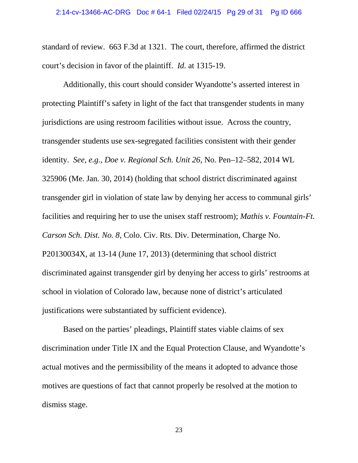<span id="page-28-0"></span> court's decision in favor of the plaintiff. *Id.* at 1315-19. standard of review. 663 F.3d at 1321. The court, therefore, affirmed the district

 identity. *See, e.g., Doe v. Regional Sch. Unit 26*, No. Pen–12–582, 2014 WL facilities and requiring her to use the unisex staff restroom); *Mathis v. Fountain-Ft.*  Additionally, this court should consider Wyandotte's asserted interest in protecting Plaintiff's safety in light of the fact that transgender students in many jurisdictions are using restroom facilities without issue. Across the country, transgender students use sex-segregated facilities consistent with their gender 325906 (Me. Jan. 30, 2014) (holding that school district discriminated against transgender girl in violation of state law by denying her access to communal girls' *Carson Sch. Dist. No. 8*, Colo. Civ. Rts. Div. Determination, Charge No. P20130034X, at 13-14 (June 17, 2013) (determining that school district discriminated against transgender girl by denying her access to girls' restrooms at school in violation of Colorado law, because none of district's articulated justifications were substantiated by sufficient evidence).

Based on the parties' pleadings, Plaintiff states viable claims of sex discrimination under Title IX and the Equal Protection Clause, and Wyandotte's actual motives and the permissibility of the means it adopted to advance those motives are questions of fact that cannot properly be resolved at the motion to dismiss stage.

23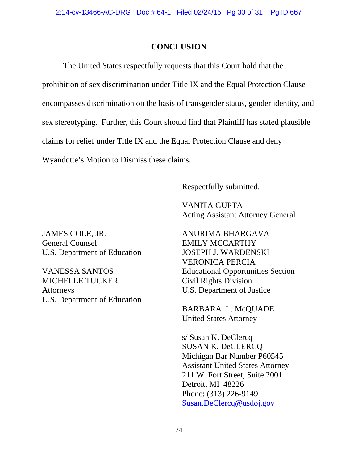### **CONCLUSION**

The United States respectfully requests that this Court hold that the prohibition of sex discrimination under Title IX and the Equal Protection Clause encompasses discrimination on the basis of transgender status, gender identity, and sex stereotyping. Further, this Court should find that Plaintiff has stated plausible claims for relief under Title IX and the Equal Protection Clause and deny Wyandotte's Motion to Dismiss these claims.

Respectfully submitted,

VANITA GUPTA Acting Assistant Attorney General

JAMES COLE, JR. ANURIMA BHARGAVA General Counsel **EMILY MCCARTHY** U.S. Department of Education JOSEPH J. WARDENSKI

MICHELLE TUCKER Civil Rights Division Attorneys U.S. Department of Justice U.S. Department of Education

VERONICA PERCIA VANESSA SANTOS Educational Opportunities Section

> BARBARA L. McQUADE United States Attorney

s/ Susan K. DeClercq SUSAN K. DeCLERCQ Michigan Bar Number P60545 Assistant United States Attorney 211 W. Fort Street, Suite 2001 Detroit, MI 48226 Phone: (313) 226-9149 [Susan.DeClercq@usdoj.gov](mailto:Susan.DeClercq@usdoj.gov)